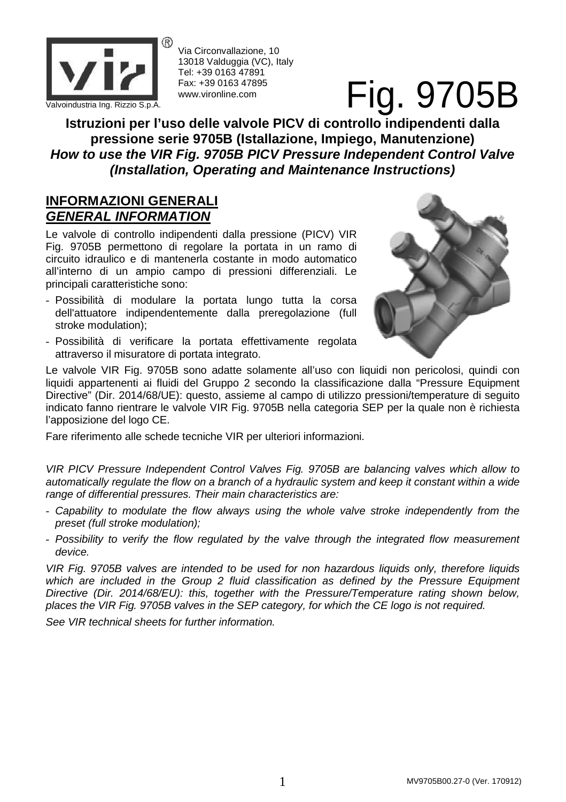

Via Circonvallazione, 10 13018 Valduggia (VC), Italy Tel: +39 0163 47891 Fax: +39 0163 47895 www.vironline.com

# **Valvoindustria Ing. Rizzio S.p.A.** Fax: +39 0163 47895 **Fig. 9705B**

**Istruzioni per l'uso delle valvole PICV di controllo indipendent indipendenti dalla pressione serie 9705B (Istallazione, Impiego, Manutenzione) How to use the VIR Fig. 9705B PICV Pressure Independent Control Valve (Installation, Operating and Maintenance Instructions)**

#### **INFORMAZIONI GENERALI GENERAL INFORMATION**

Le valvole di controllo indipendenti dalla pressione (PICV) VIR Fig. 9705B permettono di regolare la portata in un ramo di circuito idraulico e di mantenerla costante in modo automatico all'interno di un ampio campo di pressioni differenziali. Le principali caratteristiche sono:

- Possibilità di modulare la portata lungo tutta la corsa dell'attuatore indipendentemente dalla preregolazione (full stroke modulation);
- Possibilità di verificare la portata effettivamente regolata attraverso il misuratore di portata integrato.



Le valvole VIR Fig. 9705B sono adatte solamente all'uso con liquidi non pericolosi, quindi con liquidi appartenenti ai fluidi del Gruppo 2 secondo la classificazione dalla "Pressure Equipment liquidi appartenenti ai fluidi del Gruppo 2 secondo la classificazione dalla "Pressure Equipment<br>Directive" (Dir. 2014/68/UE): questo, assieme al campo di utilizzo pressioni/temperature di seguito indicato fanno rientrare le valvole VIR Fig. 9705B nella categoria SEP per la quale non è richiesta l'apposizione del logo CE.

Fare riferimento alle schede tecniche VIR per ulteriori informazioni.

VIR PICV Pressure Independent Control Valves Fig. 9705B are balancing valves which allow to automatically regulate the flow on a branch of a hydraulic system and keep it constant within a wide range of differential pressures. Their main characteristics are:

- Capability to modulate the flow always using the whole valve stroke independently from the preset (full stroke modulation);
- Possibility to verify the flow regulated by the valve through the integrated flow measurement device.

VIR Fig. 9705B valves are intended to be used for non hazardous liquids only, therefore liquids which are included in the Group 2 fluid classification as defined by the Pressure Equipment Directive (Dir. 2014/68/EU): this, together with the Pressure/Temperature rating shown below, places the VIR Fig. 9705B valves in the SEP category, for which the CE logo is not required.

See VIR technical sheets for further information.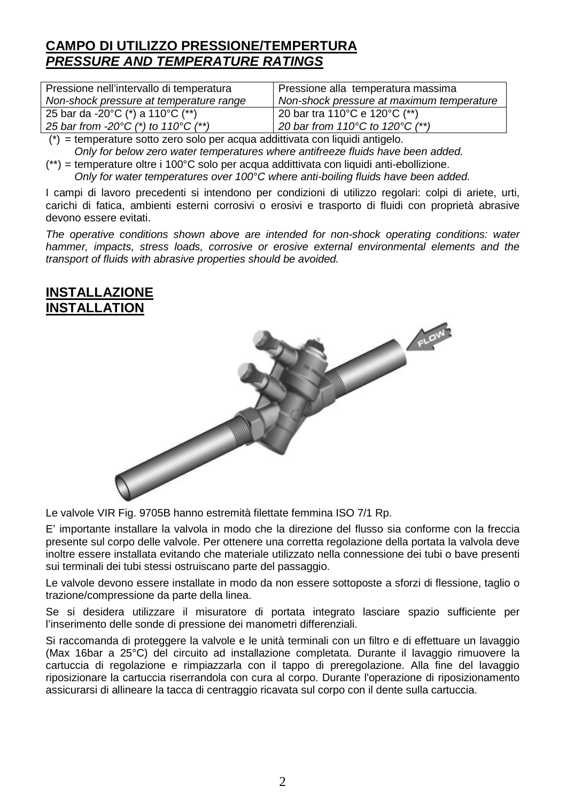## **CAMPO DI UTILIZZO PRESSIONE/TEMPERTURA PRESSURE AND TEMPERATURE RATINGS**

| Pressione nell'intervallo di temperatura                | Pressione alla temperatura massima        |
|---------------------------------------------------------|-------------------------------------------|
| Non-shock pressure at temperature range                 | Non-shock pressure at maximum temperature |
| 25 bar da -20 $^{\circ}$ C (*) a 110 $^{\circ}$ C (**)  | 20 bar tra 110°C e 120°C (**)             |
| 25 bar from -20 $\degree$ C (*) to 110 $\degree$ C (**) | 20 bar from 110°C to 120°C (**)           |

(\*) = temperature sotto zero solo per acqua addittivata con liquidi antigelo.

Only for below zero water temperatures where antifreeze fluids have been added.

(\*\*) = temperature oltre i 100°C solo per acqua addittivata con liquidi anti-ebollizione. Only for water temperatures over 100°C where anti-boiling fluids have been added.

I campi di lavoro precedenti si intendono per condizioni di utilizzo regolari: colpi di ariete, urti, carichi di fatica, ambienti esterni corrosivi o erosivi e trasporto di fluidi con proprietà abrasive devono essere evitati.

The operative conditions shown above are intended for non-shock operating conditions: water hammer, impacts, stress loads, corrosive or erosive external environmental elements and the transport of fluids with abrasive properties should be avoided.

#### **INSTALLAZIONE INSTALLATION**



Le valvole VIR Fig. 9705B hanno estremità filettate femmina ISO 7/1 Rp.

E' importante installare la valvola in modo che la direzione del flusso sia conforme con la freccia presente sul corpo delle valvole. Per ottenere una corretta regolazione della portata la valvola deve inoltre essere installata evitando che materiale utilizzato nella connessione dei tubi o bave presenti sui terminali dei tubi stessi ostruiscano parte del passaggio.

Le valvole devono essere installate in modo da non essere sottoposte a sforzi di flessione, taglio o trazione/compressione da parte della linea.

Se si desidera utilizzare il misuratore di portata integrato lasciare spazio sufficiente per l'inserimento delle sonde di pressione dei manometri differenziali.

Si raccomanda di proteggere la valvole e le unità terminali con un filtro e di effettuare un lavaggio (Max 16bar a 25°C) del circuito ad installazione completata. Durante il lavaggio rimuovere la cartuccia di regolazione e rimpiazzarla con il tappo di preregolazione. Alla fine del lavaggio riposizionare la cartuccia riserrandola con cura al corpo. Durante l'operazione di riposizionamento assicurarsi di allineare la tacca di centraggio ricavata sul corpo con il dente sulla cartuccia.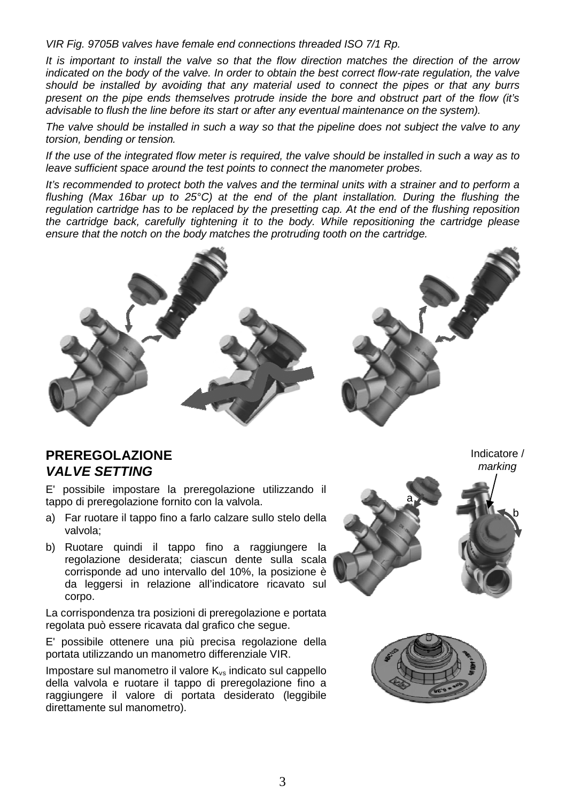VIR Fig. 9705B valves have female end connections threaded ISO 7/1 Rp.

It is important to install the valve so that the flow direction matches the direction of the arrow indicated on the body of the valve. In order to obtain the best correct flow-rate regulation, the valve should be installed by avoiding that any material used to connect the pipes or that any burrs<br>present on the pipe ends themselves protrude inside the bore and obstruct part of the flow (it's present on the pipe ends themselves protrude inside the bore and obstruct part of the flow (it's advisable to flush the line before its start or after any eventual maintenance on the system).

The valve should be installed in such a way so that the pipeline does not subject the valve to any torsion, bending or tension.

If the use of the integrated flow meter is required, the valve should be installed in such a way as to leave sufficient space around the test points to connect the manometer probes.

It's recommended to protect both the valves and the terminal units with a strainer and to perform a flushing (Max 16bar up to 25 $\degree$ C) at the end of the plant installation. During the flushing the regulation cartridge has to be replaced by the presetting cap. At the end of the flushing reposition the cartridge back, carefully tightening it to the body. While repositioning the cartridge please ensure that the notch on the body matches the protruding tooth on the cartridge.



#### **PREREGOLAZIONE VALVE SETTING**

E' possibile impostare la preregolazione utilizzando il tappo di preregolazione fornito con la valvola.

- a) Far ruotare il tappo fino a farlo calzare sullo stelo della valvola;
- b) Ruotare quindi il tappo fino a raggiungere la regolazione desiderata; ciascun dente sulla scala corrisponde ad uno intervallo del 10%, la posizione è da leggersi in relazione all'indicatore ricavato sul corpo.

La corrispondenza tra posizioni di preregolazione e portata regolata può essere ricavata dal grafico che segue.

E' possibile ottenere una più precisa regolazione della portata utilizzando un manometro differenziale VIR.

Impostare sul manometro il valore  $K_{vs}$  indicato sul cappello della valvola e ruotare il tappo di preregolazione fino a raggiungere il valore di portata desiderato (leggibile direttamente sul manometro).

Indicatore / marking